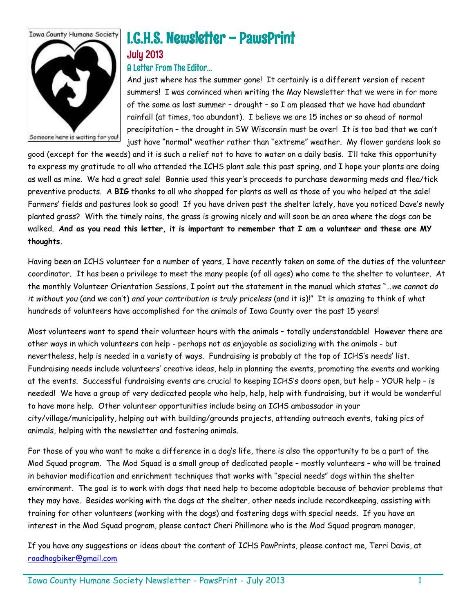

# I.C.H.S. Newsletter - PawsPrint

# July 2013

### A Letter From The Editor…

And just where has the summer gone! It certainly is a different version of recent summers! I was convinced when writing the May Newsletter that we were in for more of the same as last summer – drought – so I am pleased that we have had abundant rainfall (at times, too abundant). I believe we are 15 inches or so ahead of normal precipitation – the drought in SW Wisconsin must be over! It is too bad that we can't just have "normal" weather rather than "extreme" weather. My flower gardens look so

good (except for the weeds) and it is such a relief not to have to water on a daily basis. I'll take this opportunity to express my gratitude to all who attended the ICHS plant sale this past spring, and I hope your plants are doing as well as mine. We had a great sale! Bonnie used this year's proceeds to purchase deworming meds and flea/tick preventive products. A **BIG** thanks to all who shopped for plants as well as those of you who helped at the sale! Farmers' fields and pastures look so good! If you have driven past the shelter lately, have you noticed Dave's newly planted grass? With the timely rains, the grass is growing nicely and will soon be an area where the dogs can be walked. **And as you read this letter, it is important to remember that I am a volunteer and these are MY thoughts.** 

Having been an ICHS volunteer for a number of years, I have recently taken on some of the duties of the volunteer coordinator. It has been a privilege to meet the many people (of all ages) who come to the shelter to volunteer. At the monthly Volunteer Orientation Sessions, I point out the statement in the manual which states "…*we cannot do it without you* (and we can't) *and your contribution is truly priceless* (and it is)!" It is amazing to think of what hundreds of volunteers have accomplished for the animals of Iowa County over the past 15 years!

Most volunteers want to spend their volunteer hours with the animals – totally understandable! However there are other ways in which volunteers can help - perhaps not as enjoyable as socializing with the animals - but nevertheless, help is needed in a variety of ways. Fundraising is probably at the top of ICHS's needs' list. Fundraising needs include volunteers' creative ideas, help in planning the events, promoting the events and working at the events. Successful fundraising events are crucial to keeping ICHS's doors open, but help – YOUR help – is needed! We have a group of very dedicated people who help, help, help with fundraising, but it would be wonderful to have more help. Other volunteer opportunities include being an ICHS ambassador in your city/village/municipality, helping out with building/grounds projects, attending outreach events, taking pics of animals, helping with the newsletter and fostering animals.

For those of you who want to make a difference in a dog's life, there is also the opportunity to be a part of the Mod Squad program. The Mod Squad is a small group of dedicated people – mostly volunteers – who will be trained in behavior modification and enrichment techniques that works with "special needs" dogs within the shelter environment. The goal is to work with dogs that need help to become adoptable because of behavior problems that they may have. Besides working with the dogs at the shelter, other needs include recordkeeping, assisting with training for other volunteers (working with the dogs) and fostering dogs with special needs. If you have an interest in the Mod Squad program, please contact Cheri Phillmore who is the Mod Squad program manager.

If you have any suggestions or ideas about the content of ICHS PawPrints, please contact me, Terri Davis, at [roadhogbiker@gmail.com](mailto:roadhogbiker@gmail.com)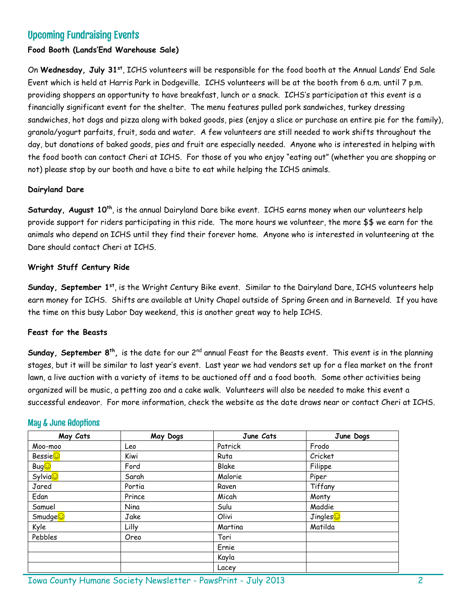# Upcoming Fundraising Events

#### **Food Booth (Lands'End Warehouse Sale)**

On **Wednesday, July 31st**, ICHS volunteers will be responsible for the food booth at the Annual Lands' End Sale Event which is held at Harris Park in Dodgeville. ICHS volunteers will be at the booth from 6 a.m. until 7 p.m. providing shoppers an opportunity to have breakfast, lunch or a snack. ICHS's participation at this event is a financially significant event for the shelter. The menu features pulled pork sandwiches, turkey dressing sandwiches, hot dogs and pizza along with baked goods, pies (enjoy a slice or purchase an entire pie for the family), granola/yogurt parfaits, fruit, soda and water. A few volunteers are still needed to work shifts throughout the day, but donations of baked goods, pies and fruit are especially needed. Anyone who is interested in helping with the food booth can contact Cheri at ICHS. For those of you who enjoy "eating out" (whether you are shopping or not) please stop by our booth and have a bite to eat while helping the ICHS animals.

#### **Dairyland Dare**

**Saturday, August 10<sup>th</sup>, is the annual Dairyland Dare bike event. ICHS earns money when our volunteers help** provide support for riders participating in this ride. The more hours we volunteer, the more \$\$ we earn for the animals who depend on ICHS until they find their forever home. Anyone who is interested in volunteering at the Dare should contact Cheri at ICHS.

#### **Wright Stuff Century Ride**

**Sunday, September 1st**, is the Wright Century Bike event. Similar to the Dairyland Dare, ICHS volunteers help earn money for ICHS. Shifts are available at Unity Chapel outside of Spring Green and in Barneveld. If you have the time on this busy Labor Day weekend, this is another great way to help ICHS.

#### **Feast for the Beasts**

**Sunday, September 8th ,** is the date for our 2nd annual Feast for the Beasts event. This event is in the planning stages, but it will be similar to last year's event. Last year we had vendors set up for a flea market on the front lawn, a live auction with a variety of items to be auctioned off and a food booth. Some other activities being organized will be music, a petting zoo and a cake walk. Volunteers will also be needed to make this event a successful endeavor. For more information, check the website as the date draws near or contact Cheri at ICHS.

#### May & June Adoptions

| May Cats            | May Dogs | June Cats | June Dogs |
|---------------------|----------|-----------|-----------|
| Moo-moo             | Leo      | Patrick   | Frodo     |
| Bessie              | Kiwi     | Ruta      | Cricket   |
| Bug <mark>⊙</mark>  | Ford     | Blake     | Filippe   |
| Sylvia <sub>c</sub> | Sarah    | Malorie   | Piper     |
| Jared               | Portia   | Raven     | Tiffany   |
| Edan                | Prince   | Micah     | Monty     |
| Samuel              | Nina     | Sulu      | Maddie    |
| Smudge <sup>c</sup> | Jake     | Olivi     | Jingles   |
| Kyle                | Lilly    | Martina   | Matilda   |
| Pebbles             | Oreo     | Tori      |           |
|                     |          | Ernie     |           |
|                     |          | Kayla     |           |
|                     |          | Lacey     |           |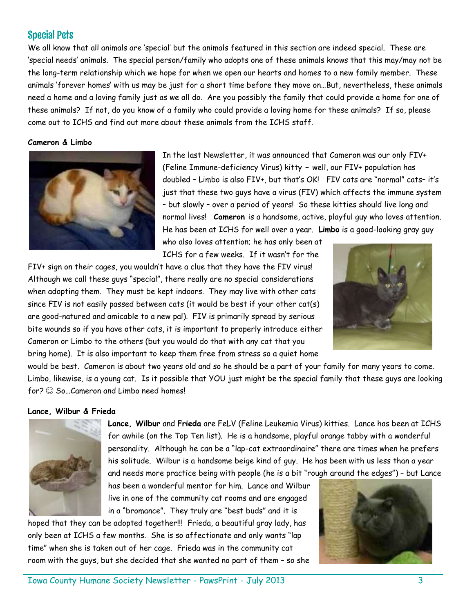# Special Pets

We all know that all animals are 'special' but the animals featured in this section are indeed special. These are 'special needs' animals. The special person/family who adopts one of these animals knows that this may/may not be the long-term relationship which we hope for when we open our hearts and homes to a new family member. These animals 'forever homes' with us may be just for a short time before they move on…But, nevertheless, these animals need a home and a loving family just as we all do. Are you possibly the family that could provide a home for one of these animals? If not, do you know of a family who could provide a loving home for these animals? If so, please come out to ICHS and find out more about these animals from the ICHS staff.

#### **Cameron & Limbo**



In the last Newsletter, it was announced that Cameron was our only FIV+ (Feline Immune-deficiency Virus) kitty **–** well, our FIV+ population has doubled – Limbo is also FIV+, but that's OK! FIV cats are "normal" cats– it's just that these two guys have a virus (FIV) which affects the immune system – but slowly – over a period of years! So these kitties should live long and normal lives! **Cameron** is a handsome, active, playful guy who loves attention. He has been at ICHS for well over a year. **Limbo** is a good-looking gray guy

who also loves attention; he has only been at ICHS for a few weeks. If it wasn't for the

FIV+ sign on their cages, you wouldn't have a clue that they have the FIV virus! Although we call these guys "special", there really are no special considerations when adopting them. They must be kept indoors. They may live with other cats since FIV is not easily passed between cats (it would be best if your other cat(s) are good-natured and amicable to a new pal). FIV is primarily spread by serious bite wounds so if you have other cats, it is important to properly introduce either Cameron or Limbo to the others (but you would do that with any cat that you bring home). It is also important to keep them free from stress so a quiet home



would be best. Cameron is about two years old and so he should be a part of your family for many years to come. Limbo, likewise, is a young cat. Is it possible that YOU just might be the special family that these guys are looking for?  $\odot$  So ... Cameron and Limbo need homes!

#### **Lance, Wilbur & Frieda**



**Lance, Wilbur** and **Frieda** are FeLV (Feline Leukemia Virus) kitties. Lance has been at ICHS for awhile (on the Top Ten list). He is a handsome, playful orange tabby with a wonderful personality. Although he can be a "lap-cat extraordinaire" there are times when he prefers his solitude. Wilbur is a handsome beige kind of guy. He has been with us less than a year and needs more practice being with people (he is a bit "rough around the edges") – but Lance

has been a wonderful mentor for him. Lance and Wilbur live in one of the community cat rooms and are engaged in a "bromance". They truly are "best buds" and it is

hoped that they can be adopted together!!! Frieda, a beautiful gray lady, has only been at ICHS a few months. She is so affectionate and only wants "lap time" when she is taken out of her cage. Frieda was in the community cat room with the guys, but she decided that she wanted no part of them – so she

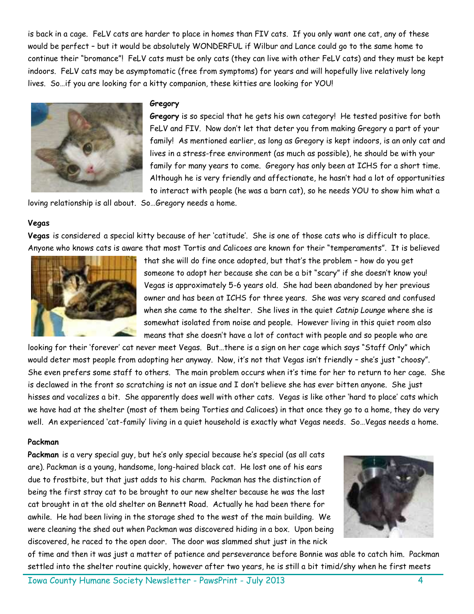is back in a cage. FeLV cats are harder to place in homes than FIV cats. If you only want one cat, any of these would be perfect – but it would be absolutely WONDERFUL if Wilbur and Lance could go to the same home to continue their "bromance"! FeLV cats must be only cats (they can live with other FeLV cats) and they must be kept indoors. FeLV cats may be asymptomatic (free from symptoms) for years and will hopefully live relatively long lives. So…if you are looking for a kitty companion, these kitties are looking for YOU!



#### **Gregory**

**Gregory** is so special that he gets his own category! He tested positive for both FeLV and FIV. Now don't let that deter you from making Gregory a part of your family! As mentioned earlier, as long as Gregory is kept indoors, is an only cat and lives in a stress-free environment (as much as possible), he should be with your family for many years to come. Gregory has only been at ICHS for a short time. Although he is very friendly and affectionate, he hasn't had a lot of opportunities to interact with people (he was a barn cat), so he needs YOU to show him what a

loving relationship is all about. So…Gregory needs a home.

#### **Vegas**

**Vegas** is considered a special kitty because of her 'catitude'. She is one of those cats who is difficult to place. Anyone who knows cats is aware that most Tortis and Calicoes are known for their "temperaments". It is believed



that she will do fine once adopted, but that's the problem – how do you get someone to adopt her because she can be a bit "scary" if she doesn't know you! Vegas is approximately 5-6 years old. She had been abandoned by her previous owner and has been at ICHS for three years. She was very scared and confused when she came to the shelter. She lives in the quiet *Catnip Lounge* where she is somewhat isolated from noise and people. However living in this quiet room also means that she doesn't have a lot of contact with people and so people who are

looking for their 'forever' cat never meet Vegas. But…there is a sign on her cage which says "Staff Only" which would deter most people from adopting her anyway. Now, it's not that Vegas isn't friendly – she's just "choosy". She even prefers some staff to others. The main problem occurs when it's time for her to return to her cage. She is declawed in the front so scratching is not an issue and I don't believe she has ever bitten anyone. She just hisses and vocalizes a bit. She apparently does well with other cats. Vegas is like other 'hard to place' cats which we have had at the shelter (most of them being Torties and Calicoes) in that once they go to a home, they do very well. An experienced 'cat-family' living in a quiet household is exactly what Vegas needs. So…Vegas needs a home.

#### **Packman**

**Packman** is a very special guy, but he's only special because he's special (as all cats are). Packman is a young, handsome, long-haired black cat. He lost one of his ears due to frostbite, but that just adds to his charm. Packman has the distinction of being the first stray cat to be brought to our new shelter because he was the last cat brought in at the old shelter on Bennett Road. Actually he had been there for awhile. He had been living in the storage shed to the west of the main building. We were cleaning the shed out when Packman was discovered hiding in a box. Upon being discovered, he raced to the open door. The door was slammed shut just in the nick



of time and then it was just a matter of patience and perseverance before Bonnie was able to catch him. Packman settled into the shelter routine quickly, however after two years, he is still a bit timid/shy when he first meets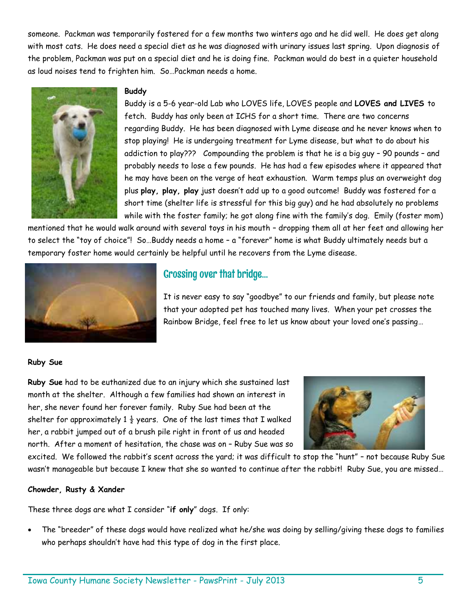someone. Packman was temporarily fostered for a few months two winters ago and he did well. He does get along with most cats. He does need a special diet as he was diagnosed with urinary issues last spring. Upon diagnosis of the problem, Packman was put on a special diet and he is doing fine. Packman would do best in a quieter household as loud noises tend to frighten him. So…Packman needs a home.



#### **Buddy**

Buddy is a 5-6 year-old Lab who LOVES life, LOVES people and **LOVES and LIVES** to fetch. Buddy has only been at ICHS for a short time. There are two concerns regarding Buddy. He has been diagnosed with Lyme disease and he never knows when to stop playing! He is undergoing treatment for Lyme disease, but what to do about his addiction to play??? Compounding the problem is that he is a big guy – 90 pounds – and probably needs to lose a few pounds. He has had a few episodes where it appeared that he may have been on the verge of heat exhaustion. Warm temps plus an overweight dog plus **play, play, play** just doesn't add up to a good outcome! Buddy was fostered for a short time (shelter life is stressful for this big guy) and he had absolutely no problems while with the foster family; he got along fine with the family's dog. Emily (foster mom)

mentioned that he would walk around with several toys in his mouth – dropping them all at her feet and allowing her to select the "toy of choice"! So…Buddy needs a home – a "forever" home is what Buddy ultimately needs but a temporary foster home would certainly be helpful until he recovers from the Lyme disease.



# Crossing over that bridge…

It is never easy to say "goodbye" to our friends and family, but please note that your adopted pet has touched many lives. When your pet crosses the Rainbow Bridge, feel free to let us know about your loved one's passing…

#### **Ruby Sue**

**Ruby Sue** had to be euthanized due to an injury which she sustained last month at the shelter. Although a few families had shown an interest in her, she never found her forever family. Ruby Sue had been at the shelter for approximately 1  $\frac{1}{2}$  years. One of the last times that I walked her, a rabbit jumped out of a brush pile right in front of us and headed north. After a moment of hesitation, the chase was on – Ruby Sue was so



excited. We followed the rabbit's scent across the yard; it was difficult to stop the "hunt" – not because Ruby Sue wasn't manageable but because I knew that she so wanted to continue after the rabbit! Ruby Sue, you are missed…

#### **Chowder, Rusty & Xander**

These three dogs are what I consider "**if only**" dogs. If only:

 The "breeder" of these dogs would have realized what he/she was doing by selling/giving these dogs to families who perhaps shouldn't have had this type of dog in the first place.